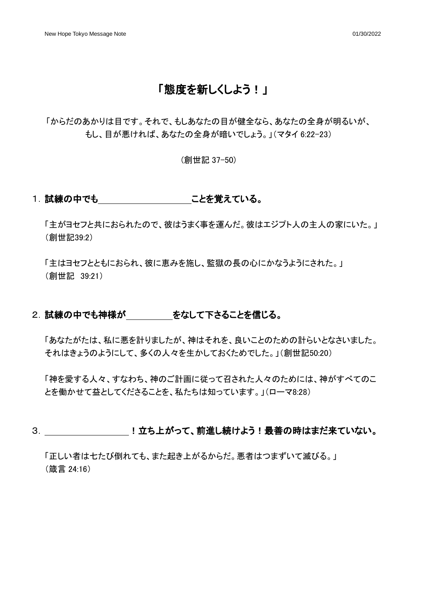## 「態度を新しくしよう!」

「からだのあかりは目です。それで、もしあなたの目が健全なら、あなたの全身が明るいが、 もし、目が悪ければ、あなたの全身が暗いでしょう。」(マタイ 6:22-23)

(創世記 37-50)

#### 1. 試練の中でも こんな覚えている。

「主がヨセフと共におられたので、彼はうまく事を運んだ。彼はエジプト人の主人の家にいた。」 (創世記39:2)

「主はヨセフとともにおられ、彼に恵みを施し、監獄の長の心にかなうようにされた。」 (創世記 39:21)

#### 2. 試練の中でも神様が わってなして下さることを信じる。

「あなたがたは、私に悪を計りましたが、神はそれを、良いことのための計らいとなさいました。 それはきょうのようにして、多くの人々を生かしておくためでした。」(創世記50:20)

「神を愛する人々、すなわち、神のご計画に従って召された人々のためには、神がすべてのこ とを働かせて益としてくださることを、私たちは知っています。」(ローマ8:28)

### 3. !立ち上がって、前進し続けよう!最善の時はまだ来ていない。

「正しい者は七たび倒れても、また起き上がるからだ。悪者はつまずいて滅びる。」 (箴言 24:16)